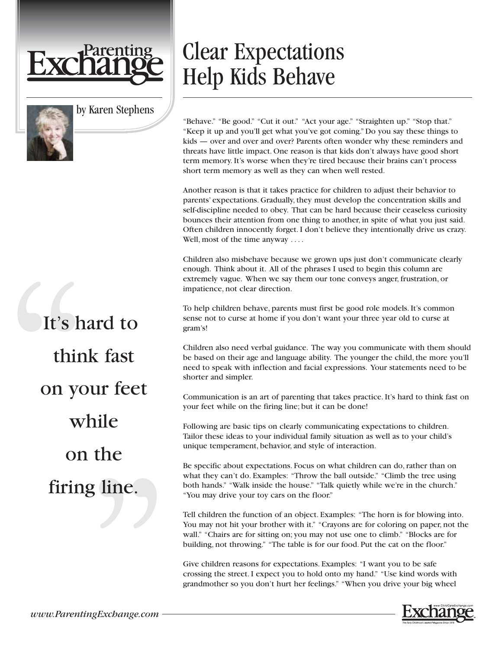



It's hard to think fast on your feet while on the firing line.

## Clear Expectations Help Kids Behave

"Behave." "Be good." "Cut it out." "Act your age." "Straighten up." "Stop that." "Keep it up and you'll get what you've got coming." Do you say these things to kids — over and over and over? Parents often wonder why these reminders and threats have little impact. One reason is that kids don't always have good short term memory. It's worse when they're tired because their brains can't process short term memory as well as they can when well rested.

Another reason is that it takes practice for children to adjust their behavior to parents' expectations. Gradually, they must develop the concentration skills and self-discipline needed to obey. That can be hard because their ceaseless curiosity bounces their attention from one thing to another, in spite of what you just said. Often children innocently forget. I don't believe they intentionally drive us crazy. Well, most of the time anyway ....

Children also misbehave because we grown ups just don't communicate clearly enough. Think about it. All of the phrases I used to begin this column are extremely vague. When we say them our tone conveys anger, frustration, or impatience, not clear direction.

To help children behave, parents must first be good role models. It's common sense not to curse at home if you don't want your three year old to curse at gram's!

Children also need verbal guidance. The way you communicate with them should be based on their age and language ability. The younger the child, the more you'll need to speak with inflection and facial expressions. Your statements need to be shorter and simpler.

Communication is an art of parenting that takes practice. It's hard to think fast on your feet while on the firing line; but it can be done!

Following are basic tips on clearly communicating expectations to children. Tailor these ideas to your individual family situation as well as to your child's unique temperament, behavior, and style of interaction.

Be specific about expectations. Focus on what children can do, rather than on what they can't do. Examples: "Throw the ball outside." "Climb the tree using both hands." "Walk inside the house." "Talk quietly while we're in the church." "You may drive your toy cars on the floor."

Tell children the function of an object. Examples: "The horn is for blowing into. You may not hit your brother with it." "Crayons are for coloring on paper, not the wall." "Chairs are for sitting on; you may not use one to climb." "Blocks are for building, not throwing." "The table is for our food. Put the cat on the floor."

Give children reasons for expectations. Examples: "I want you to be safe crossing the street. I expect you to hold onto my hand." "Use kind words with grandmother so you don't hurt her feelings." "When you drive your big wheel